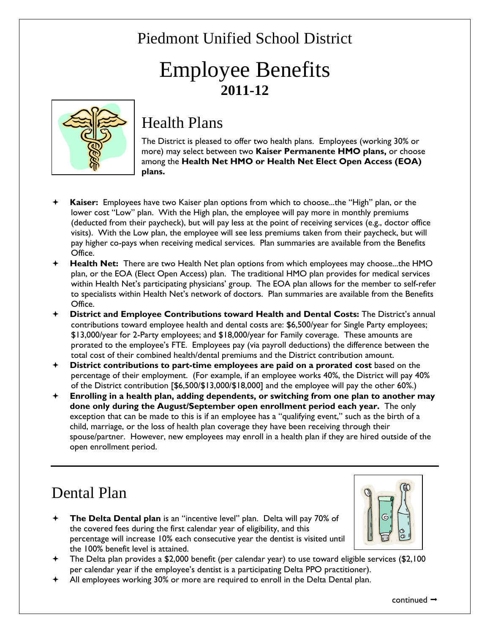# Piedmont Unified School District

# Employee Benefits **2011-12**



### Health Plans

The District is pleased to offer two health plans. Employees (working 30% or more) may select between two **Kaiser Permanente HMO plans,** or choose among the **Health Net HMO or Health Net Elect Open Access (EOA) plans.**

- **Kaiser:** Employees have two Kaiser plan options from which to choose...the "High" plan, or the lower cost "Low" plan. With the High plan, the employee will pay more in monthly premiums (deducted from their paycheck), but will pay less at the point of receiving services (e.g., doctor office visits). With the Low plan, the employee will see less premiums taken from their paycheck, but will pay higher co-pays when receiving medical services. Plan summaries are available from the Benefits Office.
- **Health Net:** There are two Health Net plan options from which employees may choose...the HMO plan, or the EOA (Elect Open Access) plan. The traditional HMO plan provides for medical services within Health Net's participating physicians' group. The EOA plan allows for the member to self-refer to specialists within Health Net's network of doctors. Plan summaries are available from the Benefits Office.
- **District and Employee Contributions toward Health and Dental Costs:** The District's annual contributions toward employee health and dental costs are: \$6,500/year for Single Party employees; \$13,000/year for 2-Party employees; and \$18,000/year for Family coverage. These amounts are prorated to the employee's FTE. Employees pay (via payroll deductions) the difference between the total cost of their combined health/dental premiums and the District contribution amount.
- **District contributions to part-time employees are paid on a prorated cost** based on the percentage of their employment. (For example, if an employee works 40%, the District will pay 40% of the District contribution [\$6,500/\$13,000/\$18,000] and the employee will pay the other 60%.)
- **Enrolling in a health plan, adding dependents, or switching from one plan to another may done only during the August/September open enrollment period each year.** The only exception that can be made to this is if an employee has a "qualifying event," such as the birth of a child, marriage, or the loss of health plan coverage they have been receiving through their spouse/partner. However, new employees may enroll in a health plan if they are hired outside of the open enrollment period.

# Dental Plan

 **The Delta Dental plan** is an "incentive level" plan. Delta will pay 70% of the covered fees during the first calendar year of eligibility, and this percentage will increase 10% each consecutive year the dentist is visited until the 100% benefit level is attained.



- The Delta plan provides a \$2,000 benefit (per calendar year) to use toward eligible services (\$2,100 per calendar year if the employee's dentist is a participating Delta PPO practitioner).
- All employees working 30% or more are required to enroll in the Delta Dental plan.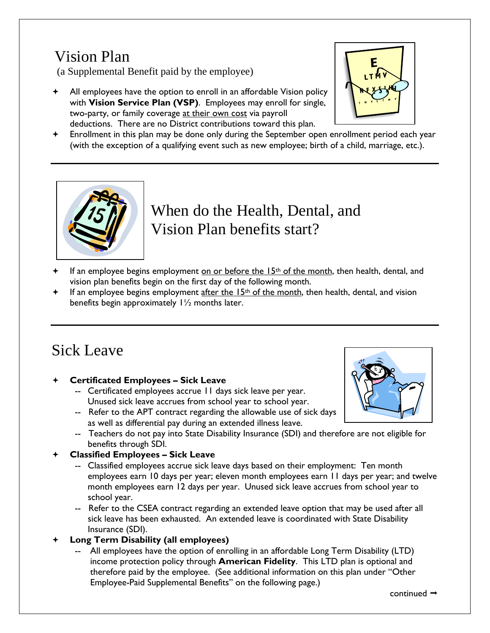# Vision Plan

(a Supplemental Benefit paid by the employee)

 All employees have the option to enroll in an affordable Vision policy with **Vision Service Plan (VSP)**. Employees may enroll for single, two-party, or family coverage at their own cost via payroll deductions. There are no District contributions toward this plan.



 Enrollment in this plan may be done only during the September open enrollment period each year (with the exception of a qualifying event such as new employee; birth of a child, marriage, etc.).



### When do the Health, Dental, and Vision Plan benefits start? J.

- If an employee begins employment on or before the  $15<sup>th</sup>$  of the month, then health, dental, and vision plan benefits begin on the first day of the following month.
- If an employee begins employment after the  $15<sup>th</sup>$  of the month, then health, dental, and vision benefits begin approximately 1½ months later.

# Sick Leave

### **Certificated Employees – Sick Leave**

- -- Certificated employees accrue 11 days sick leave per year. Unused sick leave accrues from school year to school year.
- -- Refer to the APT contract regarding the allowable use of sick days as well as differential pay during an extended illness leave.
- 
- -- Teachers do not pay into State Disability Insurance (SDI) and therefore are not eligible for benefits through SDI.

### **Classified Employees – Sick Leave**

- -- Classified employees accrue sick leave days based on their employment: Ten month employees earn 10 days per year; eleven month employees earn 11 days per year; and twelve month employees earn 12 days per year. Unused sick leave accrues from school year to school year.
- -- Refer to the CSEA contract regarding an extended leave option that may be used after all sick leave has been exhausted. An extended leave is coordinated with State Disability Insurance (SDI).

### **Long Term Disability (all employees)**

-- All employees have the option of enrolling in an affordable Long Term Disability (LTD) income protection policy through **American Fidelity**. This LTD plan is optional and therefore paid by the employee. (See additional information on this plan under "Other Employee-Paid Supplemental Benefits" on the following page.)

continued  $\rightarrow$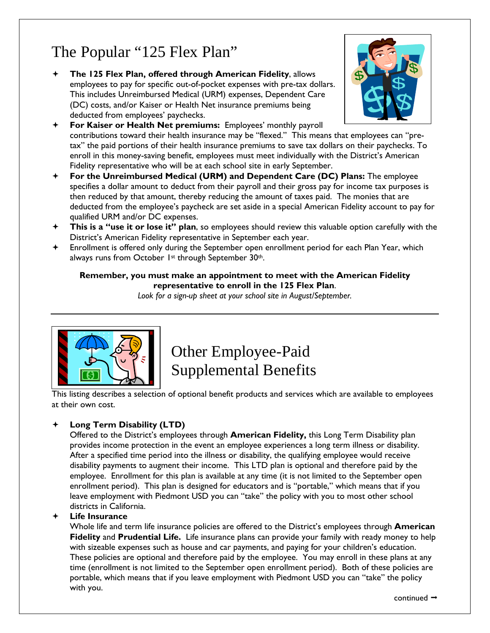# The Popular "125 Flex Plan"

 **The 125 Flex Plan, offered through American Fidelity**, allows employees to pay for specific out-of-pocket expenses with pre-tax dollars. This includes Unreimbursed Medical (URM) expenses, Dependent Care (DC) costs, and/or Kaiser or Health Net insurance premiums being deducted from employees' paychecks.



- **For Kaiser or Health Net premiums:** Employees' monthly payroll contributions toward their health insurance may be "flexed." This means that employees can "pretax" the paid portions of their health insurance premiums to save tax dollars on their paychecks. To enroll in this money-saving benefit, employees must meet individually with the District's American Fidelity representative who will be at each school site in early September.
- **For the Unreimbursed Medical (URM) and Dependent Care (DC) Plans:** The employee specifies a dollar amount to deduct from their payroll and their gross pay for income tax purposes is then reduced by that amount, thereby reducing the amount of taxes paid. The monies that are deducted from the employee's paycheck are set aside in a special American Fidelity account to pay for qualified URM and/or DC expenses.
- **This is a "use it or lose it" plan**, so employees should review this valuable option carefully with the District's American Fidelity representative in September each year.
- Enrollment is offered only during the September open enrollment period for each Plan Year, which always runs from October 1st through September 30th.

#### **Remember, you must make an appointment to meet with the American Fidelity representative to enroll in the 125 Flex Plan**.

*Look for a sign-up sheet at your school site in August/September.* 



# Other Employee-Paid Supplemental Benefits

This listing describes a selection of optional benefit products and services which are available to employees at their own cost.

### **Long Term Disability (LTD)**

Offered to the District's employees through **American Fidelity,** this Long Term Disability plan provides income protection in the event an employee experiences a long term illness or disability. After a specified time period into the illness or disability, the qualifying employee would receive disability payments to augment their income. This LTD plan is optional and therefore paid by the employee. Enrollment for this plan is available at any time (it is not limited to the September open enrollment period). This plan is designed for educators and is "portable," which means that if you leave employment with Piedmont USD you can "take" the policy with you to most other school districts in California.

#### **Life Insurance**

Whole life and term life insurance policies are offered to the District's employees through **American Fidelity** and **Prudential Life.** Life insurance plans can provide your family with ready money to help with sizeable expenses such as house and car payments, and paying for your children's education. These policies are optional and therefore paid by the employee. You may enroll in these plans at any time (enrollment is not limited to the September open enrollment period). Both of these policies are portable, which means that if you leave employment with Piedmont USD you can "take" the policy with you.

continued  $\rightarrow$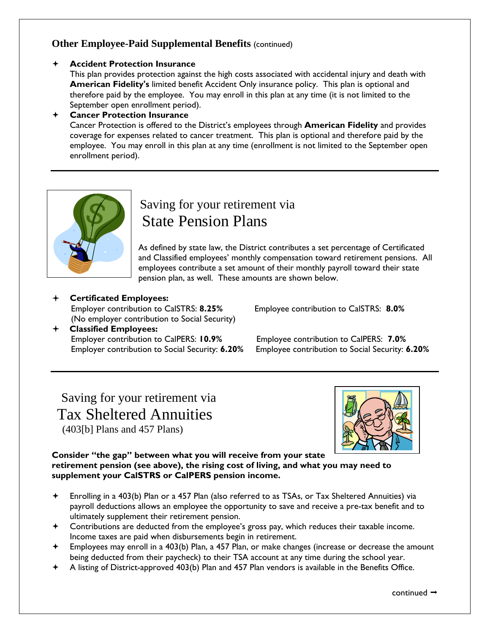### **Other Employee-Paid Supplemental Benefits (continued)**

#### **Accident Protection Insurance**

This plan provides protection against the high costs associated with accidental injury and death with **American Fidelity's** limited benefit Accident Only insurance policy. This plan is optional and therefore paid by the employee. You may enroll in this plan at any time (it is not limited to the September open enrollment period).

 **Cancer Protection Insurance** Cancer Protection is offered to the District's employees through **American Fidelity** and provides coverage for expenses related to cancer treatment. This plan is optional and therefore paid by the employee. You may enroll in this plan at any time (enrollment is not limited to the September open enrollment period).



### Saving for your retirement via State Pension Plans

As defined by state law, the District contributes a set percentage of Certificated and Classified employees' monthly compensation toward retirement pensions. All employees contribute a set amount of their monthly payroll toward their state pension plan, as well. These amounts are shown below.

### **Certificated Employees:**

Employer contribution to CalSTRS: **8.25%** Employee contribution to CalSTRS: **8.0%** (No employer contribution to Social Security)

 **Classified Employees:**  Employer contribution to CalPERS: **10.9%** Employee contribution to CalPERS: **7.0%**

Employer contribution to Social Security: **6.20%** Employee contribution to Social Security: **6.20%**

 Saving for your retirement via Tax Sheltered Annuities (403[b] Plans and 457 Plans)



**Consider "the gap" between what you will receive from your state retirement pension (see above), the rising cost of living, and what you may need to supplement your CalSTRS or CalPERS pension income.** 

- Enrolling in a 403(b) Plan or a 457 Plan (also referred to as TSAs, or Tax Sheltered Annuities) via payroll deductions allows an employee the opportunity to save and receive a pre-tax benefit and to ultimately supplement their retirement pension.
- Contributions are deducted from the employee's gross pay, which reduces their taxable income. Income taxes are paid when disbursements begin in retirement.
- Employees may enroll in a 403(b) Plan, a 457 Plan, or make changes (increase or decrease the amount being deducted from their paycheck) to their TSA account at any time during the school year.
- A listing of District-approved 403(b) Plan and 457 Plan vendors is available in the Benefits Office.